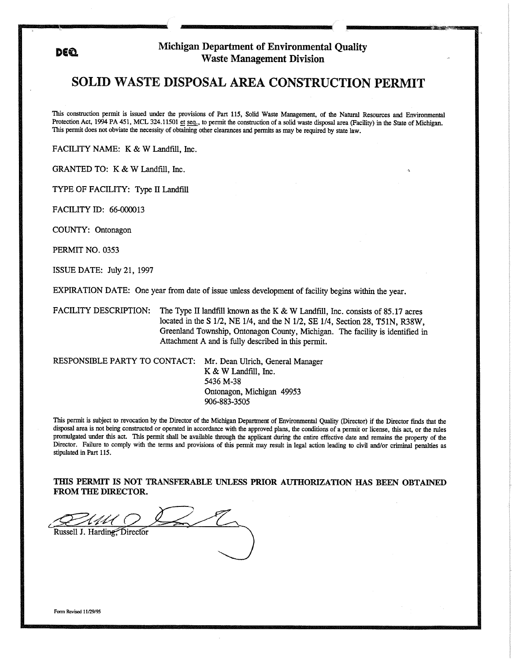## DEE 1. Michigan Department of Environmental Quality Waste Management Division

## SOLID WASTE DISPOSAL AREA CONSTRUCTION PERMIT

This construction permit is issued under the provisions of Part 115, Solid Waste Management, of the Natural Resources and Enviromnental Protection Act, 1994 PA 451, MCL 324.11501 et seq., to permit the construction of a solid waste disposal area (Facility) in the State of Michigan. This permit does not obviate the necessity of obtaining other clearances and permits as may be required by state law.

FACILITY NAME: K & W Landfill, Inc.

GRANTED TO: K & W Landfill, Inc.

TYPE OF FACILITY: Type II Landfill

FACILITY ID: 66-000013

COUNTY: Ontonagon

PERMIT NO. 0353

ISSUE DATE: July 21, 1997

EXPIRATION DATE: One year from date of issue unless development of facility begins within the year.

FACILITY DESCRIPTION: The Type II landfill known as the K & W Landfill, Inc. consists of 85.17 acres located in the S 1/2, NE 1/4, and the N 1/2, SE 1/4, Section 28, T51N, R38W, Greenland Township, Ontonagon County, Michigan. The facility is identified in Attachment A and is fully described in this permit.

RESPONSIBLE PARTY TO CONTACT: Mr. Dean Ulrich, General Manager

K & W Landfill, Inc. 5436 M-38 Ontonagon, Michigan 49953 906-883-3505

This permit is subject to revocation by the Director of the Michigan Department of Enviromnental Quality (Director) if the Director finds that the disposal area is not being constructed or operated in accordance with the approved plans, the conditions of a permit or license, this act, or the rules promulgated under this act. This permit shall be available through the applicant during the entire effective date and remains the property of the Director. Failure to comply with the terms and provisions of this permit may result in legal action leading to civil and/or criminal penalties as stipulated in Part 115.

TillS PERMIT IS NOT TRANSFERABLE UNLESS PRIOR AUTHORIZATION HAS BEEN OBTAINED FROM THE DIRECTOR.

 $\overline{\phantom{0}}$ 

Russell J. Harding, Director

Form Revised 11/29/95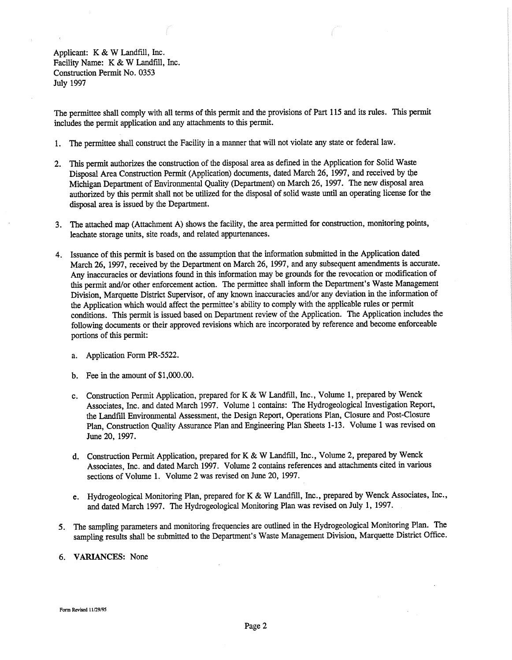Applicant: K & W Landflll, Inc. Facility Name: K & W Landfill, Inc. Construction Permit No. 0353 July 1997

The permittee shall comply with all terms of this permit and the provisions of Part 115 and its rules. This permit includes the permit application and any attachments to this permit.

- 1. The permittee shall construct the Facility in a manner that will not violate any state or federal law.
- 2. This permit authorizes the construction of the disposal area as defmed in the Application for Solid Waste Disposal Area Construction Permit (Application) documents, dated March 26, 1997, and received by the Michigan Department of Environmental Quality (Department) on March 26, 1997. The new disposal area authorized by this permit shall not be utilized for the disposal of solid waste until an operating license for the disposal area is issued by the Department.
- 3. The attached map (Attachment A) shows the facility, the area permitted for construction, monitoring points, leachate storage units, site roads, and related appurtenances.
- 4. Issuance of this permit is based on the assumption that the information submitted in the Application dated March 26, 1997, received by the Department on March 26, 1997, and any subsequent amendments is accurate. Any inaccuracies or deviations found in this information may be grounds for the revocation or modification of this permit and/or other enforcement action. The permittee shall inform the Department's Waste Management Division, Marquette District Supervisor, of any known inaccuracies and/or any deviation in the information of the Application which would affect the permittee's ability to comply with the applicable rules or permit conditions. This permit is issued based on Department review of the Application. The Application includes the following documents or their approved revisions which are incorporated by reference and become enforceable portions of this permit:
	- a. Application Form PR-5522.
	- b. Fee in the amount of \$1,000.00.
	- c. Construction Permit Application, prepared forK & W Landfill, Inc., Volume 1, prepared by Wenck Associates, Inc. and dated March 1997. Volume 1 contains: The Hydrogeological Investigation Report, the Landfill Environmental Assessment, the Design Report, Operations Plan, Closure and Post-Closure Plan, Construction Quality Assurance Plan and Engineering Plan Sheets 1-13. Volume 1 was revised on June 20, 1997.
	- d. Construction Permit Application, prepared forK & W Landfill, Inc., Volume 2, prepared by Wenck Associates, Inc. and dated March 1997. Volume 2 contains references and attachments cited in various sections of Volume 1. Volume 2 was revised on June 20, 1997.
	- e. Hydrogeological Monitoring Plan, prepared for K & W Landfill, Inc., prepared by Wenck Associates, Inc., and dated March 1997. The Hydrogeological Monitoring Plan was revised on July 1, 1997.
- 5. The sampling parameters and monitoring frequencies are outlined in the Hydrogeological Monitoring Plan. The sampling results shall be submitted to the Department's Waste Management Division, Marquette District Office.
- 6. VARIANCES: None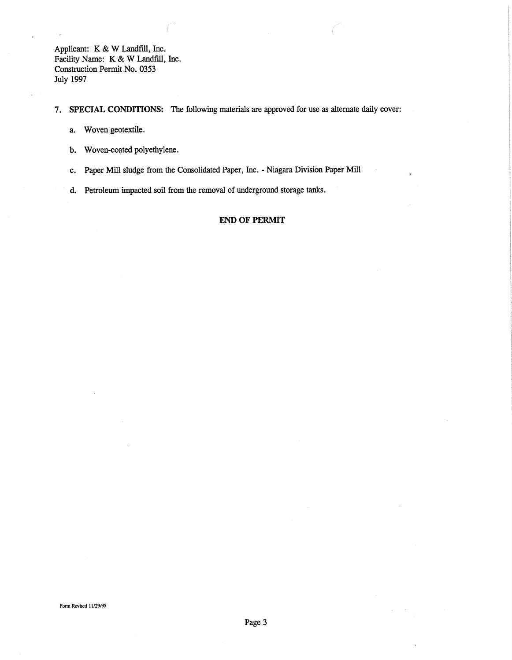Applicant: K & W Landfill, Inc. Facility Name: K & **W** Landfill, Inc. Construction Permit No. 0353 July 1997

7. SPECIAL CONDITIONS: The following materials are approved for use as alternate daily cover:

- a. Woven geotextile.
- b. Woven-coated polyethylene.
- c. Paper Mill sludge from the Consolidated Paper, Inc. Niagara Division Paper Mill

d. Petroleum impacted soil from the removal of underground storage tanks.

## END **OF PERMIT**